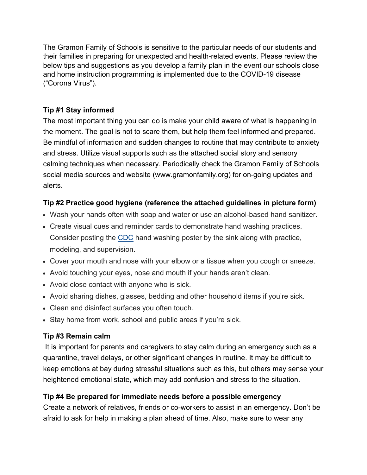The Gramon Family of Schools is sensitive to the particular needs of our students and their families in preparing for unexpected and health-related events. Please review the below tips and suggestions as you develop a family plan in the event our schools close and home instruction programming is implemented due to the COVID-19 disease ("Corona Virus").

# **Tip #1 Stay informed**

The most important thing you can do is make your child aware of what is happening in the moment. The goal is not to scare them, but help them feel informed and prepared. Be mindful of information and sudden changes to routine that may contribute to anxiety and stress. Utilize visual supports such as the attached social story and sensory calming techniques when necessary. Periodically check the Gramon Family of Schools social media sources and website (www.gramonfamily.org) for on-going updates and alerts.

# **Tip #2 Practice good hygiene (reference the attached guidelines in picture form)**

- Wash your hands often with soap and water or use an alcohol-based hand sanitizer.
- Create visual cues and reminder cards to demonstrate hand washing practices. Consider posting the [CDC](https://www.cdc.gov/) hand washing poster by the sink along with practice, modeling, and supervision.
- Cover your mouth and nose with your elbow or a tissue when you cough or sneeze.
- Avoid touching your eyes, nose and mouth if your hands aren't clean.
- Avoid close contact with anyone who is sick.
- Avoid sharing dishes, glasses, bedding and other household items if you're sick.
- Clean and disinfect surfaces you often touch.
- Stay home from work, school and public areas if you're sick.

## **Tip #3 Remain calm**

It is important for parents and caregivers to stay calm during an emergency such as a quarantine, travel delays, or other significant changes in routine. It may be difficult to keep emotions at bay during stressful situations such as this, but others may sense your heightened emotional state, which may add confusion and stress to the situation.

## **Tip #4 Be prepared for immediate needs before a possible emergency**

Create a network of relatives, friends or co-workers to assist in an emergency. Don't be afraid to ask for help in making a plan ahead of time. Also, make sure to wear any